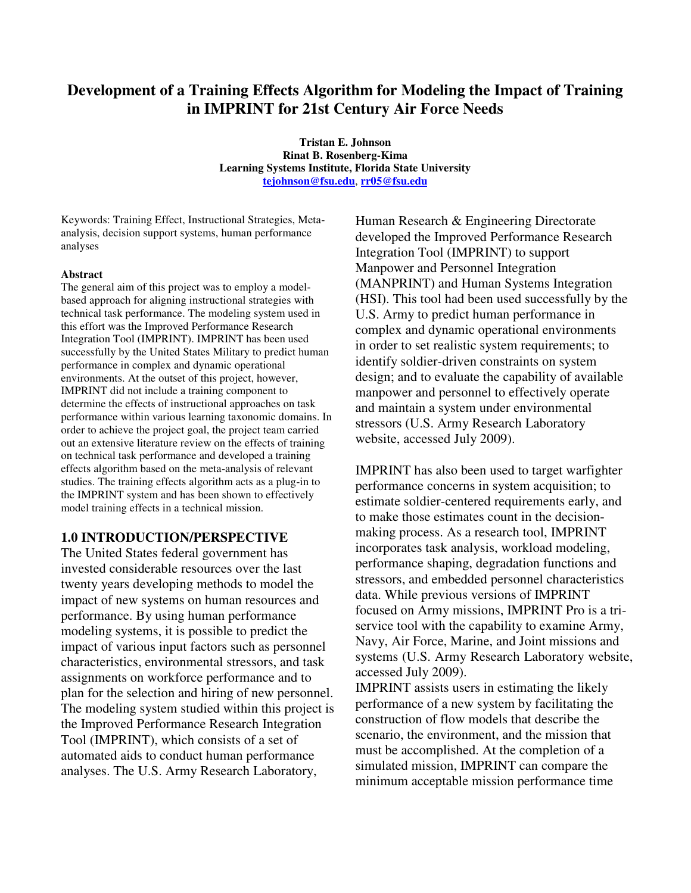# **Development of a Training Effects Algorithm for Modeling the Impact of Training in IMPRINT for 21st Century Air Force Needs**

**Tristan E. Johnson Rinat B. Rosenberg-Kima Learning Systems Institute, Florida State University tejohnson@fsu.edu**, **rr05@fsu.edu**

Keywords: Training Effect, Instructional Strategies, Metaanalysis, decision support systems, human performance analyses

#### **Abstract**

The general aim of this project was to employ a modelbased approach for aligning instructional strategies with technical task performance. The modeling system used in this effort was the Improved Performance Research Integration Tool (IMPRINT). IMPRINT has been used successfully by the United States Military to predict human performance in complex and dynamic operational environments. At the outset of this project, however, IMPRINT did not include a training component to determine the effects of instructional approaches on task performance within various learning taxonomic domains. In order to achieve the project goal, the project team carried out an extensive literature review on the effects of training on technical task performance and developed a training effects algorithm based on the meta-analysis of relevant studies. The training effects algorithm acts as a plug-in to the IMPRINT system and has been shown to effectively model training effects in a technical mission.

### **1.0 INTRODUCTION/PERSPECTIVE**

The United States federal government has invested considerable resources over the last twenty years developing methods to model the impact of new systems on human resources and performance. By using human performance modeling systems, it is possible to predict the impact of various input factors such as personnel characteristics, environmental stressors, and task assignments on workforce performance and to plan for the selection and hiring of new personnel. The modeling system studied within this project is the Improved Performance Research Integration Tool (IMPRINT), which consists of a set of automated aids to conduct human performance analyses. The U.S. Army Research Laboratory,

Human Research & Engineering Directorate developed the Improved Performance Research Integration Tool (IMPRINT) to support Manpower and Personnel Integration (MANPRINT) and Human Systems Integration (HSI). This tool had been used successfully by the U.S. Army to predict human performance in complex and dynamic operational environments in order to set realistic system requirements; to identify soldier-driven constraints on system design; and to evaluate the capability of available manpower and personnel to effectively operate and maintain a system under environmental stressors (U.S. Army Research Laboratory website, accessed July 2009).

IMPRINT has also been used to target warfighter performance concerns in system acquisition; to estimate soldier-centered requirements early, and to make those estimates count in the decisionmaking process. As a research tool, IMPRINT incorporates task analysis, workload modeling, performance shaping, degradation functions and stressors, and embedded personnel characteristics data. While previous versions of IMPRINT focused on Army missions, IMPRINT Pro is a triservice tool with the capability to examine Army, Navy, Air Force, Marine, and Joint missions and systems (U.S. Army Research Laboratory website, accessed July 2009).

IMPRINT assists users in estimating the likely performance of a new system by facilitating the construction of flow models that describe the scenario, the environment, and the mission that must be accomplished. At the completion of a simulated mission, IMPRINT can compare the minimum acceptable mission performance time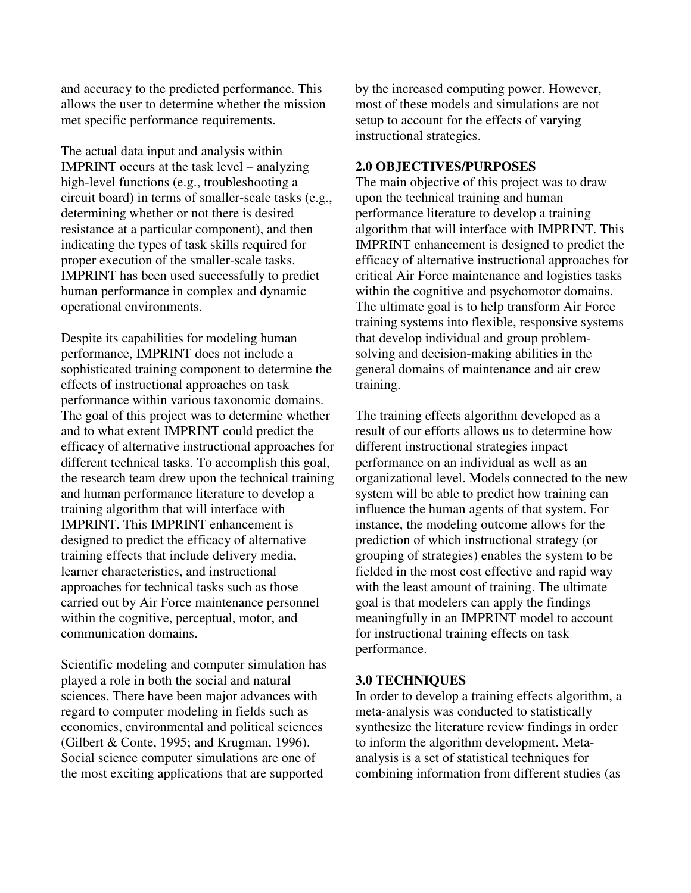and accuracy to the predicted performance. This allows the user to determine whether the mission met specific performance requirements.

The actual data input and analysis within IMPRINT occurs at the task level – analyzing high-level functions (e.g., troubleshooting a circuit board) in terms of smaller-scale tasks (e.g., determining whether or not there is desired resistance at a particular component), and then indicating the types of task skills required for proper execution of the smaller-scale tasks. IMPRINT has been used successfully to predict human performance in complex and dynamic operational environments.

Despite its capabilities for modeling human performance, IMPRINT does not include a sophisticated training component to determine the effects of instructional approaches on task performance within various taxonomic domains. The goal of this project was to determine whether and to what extent IMPRINT could predict the efficacy of alternative instructional approaches for different technical tasks. To accomplish this goal, the research team drew upon the technical training and human performance literature to develop a training algorithm that will interface with IMPRINT. This IMPRINT enhancement is designed to predict the efficacy of alternative training effects that include delivery media, learner characteristics, and instructional approaches for technical tasks such as those carried out by Air Force maintenance personnel within the cognitive, perceptual, motor, and communication domains.

Scientific modeling and computer simulation has played a role in both the social and natural sciences. There have been major advances with regard to computer modeling in fields such as economics, environmental and political sciences (Gilbert & Conte, 1995; and Krugman, 1996). Social science computer simulations are one of the most exciting applications that are supported

by the increased computing power. However, most of these models and simulations are not setup to account for the effects of varying instructional strategies.

## **2.0 OBJECTIVES/PURPOSES**

The main objective of this project was to draw upon the technical training and human performance literature to develop a training algorithm that will interface with IMPRINT. This IMPRINT enhancement is designed to predict the efficacy of alternative instructional approaches for critical Air Force maintenance and logistics tasks within the cognitive and psychomotor domains. The ultimate goal is to help transform Air Force training systems into flexible, responsive systems that develop individual and group problemsolving and decision-making abilities in the general domains of maintenance and air crew training.

The training effects algorithm developed as a result of our efforts allows us to determine how different instructional strategies impact performance on an individual as well as an organizational level. Models connected to the new system will be able to predict how training can influence the human agents of that system. For instance, the modeling outcome allows for the prediction of which instructional strategy (or grouping of strategies) enables the system to be fielded in the most cost effective and rapid way with the least amount of training. The ultimate goal is that modelers can apply the findings meaningfully in an IMPRINT model to account for instructional training effects on task performance.

## **3.0 TECHNIQUES**

In order to develop a training effects algorithm, a meta-analysis was conducted to statistically synthesize the literature review findings in order to inform the algorithm development. Metaanalysis is a set of statistical techniques for combining information from different studies (as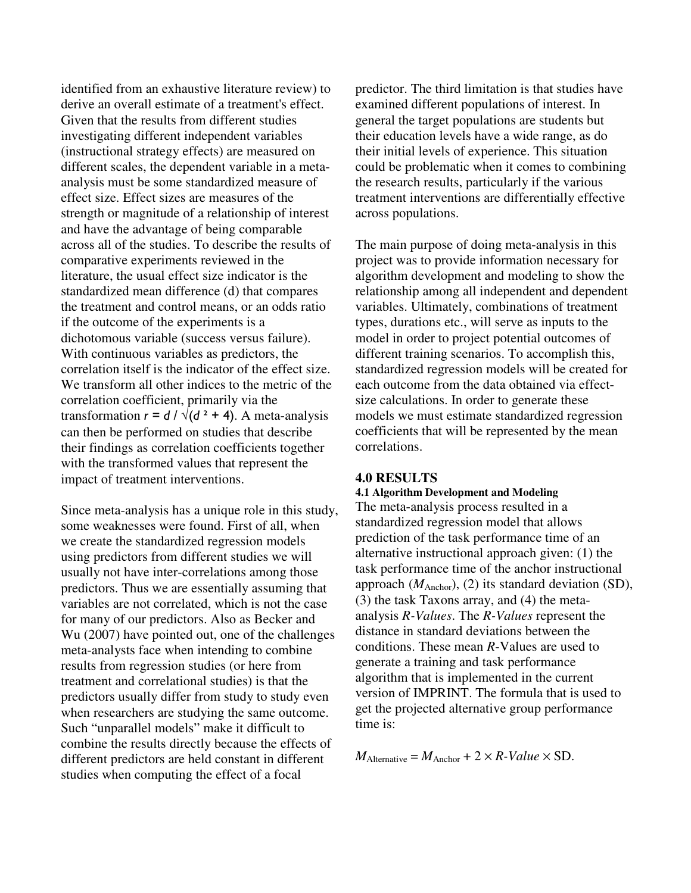identified from an exhaustive literature review) to derive an overall estimate of a treatment's effect. Given that the results from different studies investigating different independent variables (instructional strategy effects) are measured on different scales, the dependent variable in a metaanalysis must be some standardized measure of effect size. Effect sizes are measures of the strength or magnitude of a relationship of interest and have the advantage of being comparable across all of the studies. To describe the results of comparative experiments reviewed in the literature, the usual effect size indicator is the standardized mean difference (d) that compares the treatment and control means, or an odds ratio if the outcome of the experiments is a dichotomous variable (success versus failure). With continuous variables as predictors, the correlation itself is the indicator of the effect size. We transform all other indices to the metric of the correlation coefficient, primarily via the transformation  $r = d / \sqrt{d^2 + 4}$ . A meta-analysis can then be performed on studies that describe their findings as correlation coefficients together with the transformed values that represent the impact of treatment interventions.

Since meta-analysis has a unique role in this study, some weaknesses were found. First of all, when we create the standardized regression models using predictors from different studies we will usually not have inter-correlations among those predictors. Thus we are essentially assuming that variables are not correlated, which is not the case for many of our predictors. Also as Becker and Wu (2007) have pointed out, one of the challenges meta-analysts face when intending to combine results from regression studies (or here from treatment and correlational studies) is that the predictors usually differ from study to study even when researchers are studying the same outcome. Such "unparallel models" make it difficult to combine the results directly because the effects of different predictors are held constant in different studies when computing the effect of a focal

predictor. The third limitation is that studies have examined different populations of interest. In general the target populations are students but their education levels have a wide range, as do their initial levels of experience. This situation could be problematic when it comes to combining the research results, particularly if the various treatment interventions are differentially effective across populations.

The main purpose of doing meta-analysis in this project was to provide information necessary for algorithm development and modeling to show the relationship among all independent and dependent variables. Ultimately, combinations of treatment types, durations etc., will serve as inputs to the model in order to project potential outcomes of different training scenarios. To accomplish this, standardized regression models will be created for each outcome from the data obtained via effectsize calculations. In order to generate these models we must estimate standardized regression coefficients that will be represented by the mean correlations.

## **4.0 RESULTS**

### **4.1 Algorithm Development and Modeling**

The meta-analysis process resulted in a standardized regression model that allows prediction of the task performance time of an alternative instructional approach given: (1) the task performance time of the anchor instructional approach  $(M_{\text{Anchor}})$ , (2) its standard deviation (SD), (3) the task Taxons array, and (4) the metaanalysis *R-Values*. The *R-Values* represent the distance in standard deviations between the conditions. These mean *R*-Values are used to generate a training and task performance algorithm that is implemented in the current version of IMPRINT. The formula that is used to get the projected alternative group performance time is:

 $M_{\text{Alternative}} = M_{\text{Another}} + 2 \times R \text{-} Value \times SD.$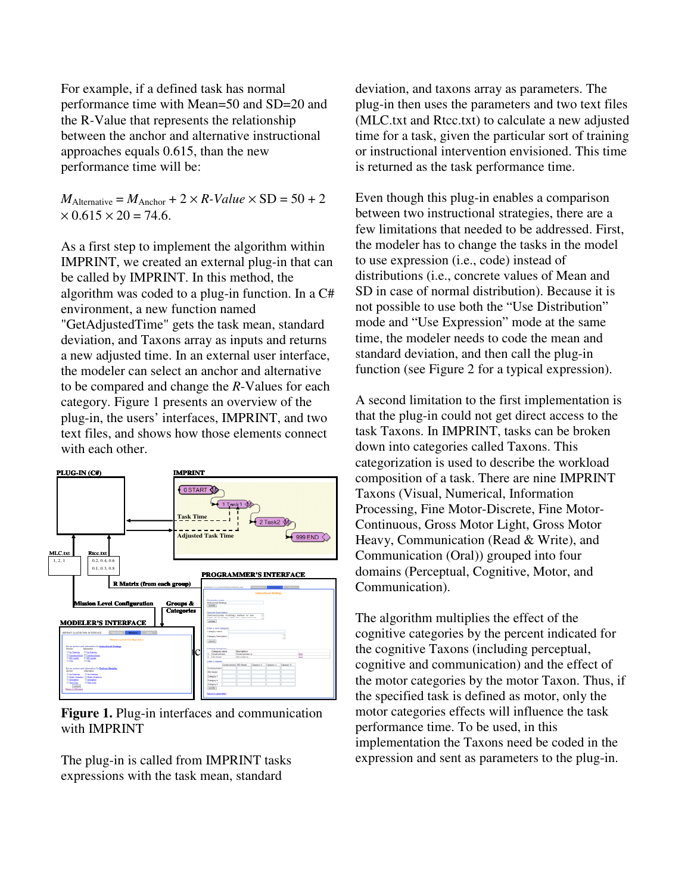For example, if a defined task has normal performance time with Mean=50 and SD=20 and the R-Value that represents the relationship between the anchor and alternative instructional approaches equals 0.615, than the new performance time will be:

 $M_{\text{Alternative}} = M_{\text{Another}} + 2 \times R \cdot Value \times SD = 50 + 2$  $\times 0.615 \times 20 = 74.6$ .

As a first step to implement the algorithm within IMPRINT, we created an external plug-in that can be called by IMPRINT. In this method, the algorithm was coded to a plug-in function. In a C# environment, a new function named "GetAdjustedTime" gets the task mean, standard deviation, and Taxons array as inputs and returns a new adjusted time. In an external user interface, the modeler can select an anchor and alternative to be compared and change the *R*-Values for each category. Figure 1 presents an overview of the plug-in, the users' interfaces, IMPRINT, and two text files, and shows how those elements connect with each other.



**Figure 1.** Plug-in interfaces and communication with IMPRINT

The plug-in is called from IMPRINT tasks expressions with the task mean, standard

deviation, and taxons array as parameters. The plug-in then uses the parameters and two text files (MLC.txt and Rtcc.txt) to calculate a new adjusted time for a task, given the particular sort of training or instructional intervention envisioned. This time is returned as the task performance time.

Even though this plug-in enables a comparison between two instructional strategies, there are a few limitations that needed to be addressed. First, the modeler has to change the tasks in the model to use expression (i.e., code) instead of distributions (i.e., concrete values of Mean and SD in case of normal distribution). Because it is not possible to use both the "Use Distribution" mode and "Use Expression" mode at the same time, the modeler needs to code the mean and standard deviation, and then call the plug-in function (see Figure 2 for a typical expression).

A second limitation to the first implementation is that the plug-in could not get direct access to the task Taxons. In IMPRINT, tasks can be broken down into categories called Taxons. This categorization is used to describe the workload composition of a task. There are nine IMPRINT Taxons (Visual, Numerical, Information Processing, Fine Motor-Discrete, Fine Motor-Continuous, Gross Motor Light, Gross Motor Heavy, Communication (Read & Write), and Communication (Oral)) grouped into four domains (Perceptual, Cognitive, Motor, and Communication).

The algorithm multiplies the effect of the cognitive categories by the percent indicated for the cognitive Taxons (including perceptual, cognitive and communication) and the effect of the motor categories by the motor Taxon. Thus, if the specified task is defined as motor, only the motor categories effects will influence the task performance time. To be used, in this implementation the Taxons need be coded in the expression and sent as parameters to the plug-in.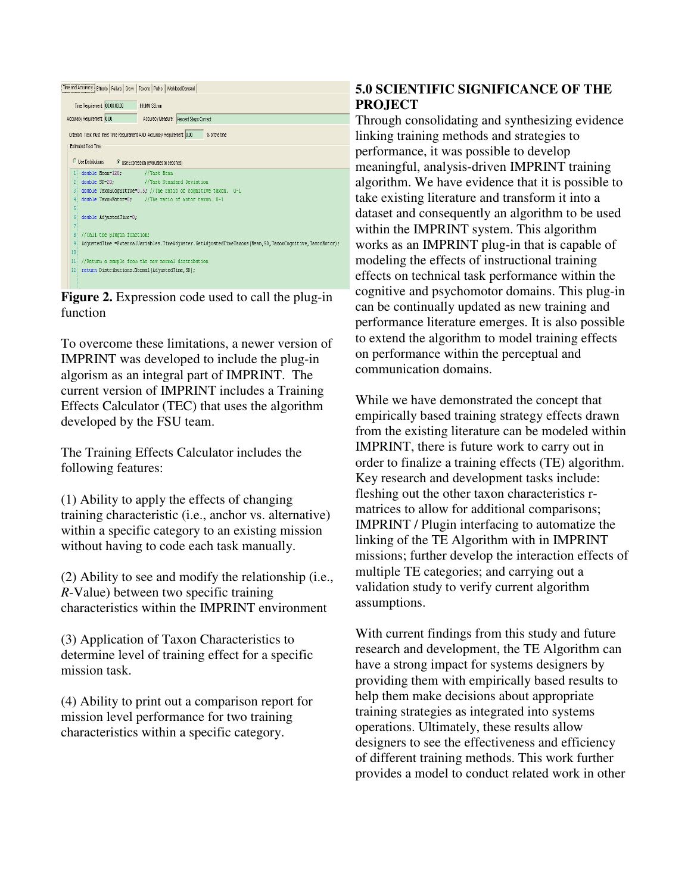| Time and Accuracy   Effects   Failure   Crew  <br>Workload Demand<br>Taxons Paths          |                                                                                                        |  |
|--------------------------------------------------------------------------------------------|--------------------------------------------------------------------------------------------------------|--|
|                                                                                            | Time Requirement: 00:00:00.00<br>HHMM SS mm                                                            |  |
|                                                                                            | Accuracy Requirement: 0.00<br>Accuracy Measure: Percent Steps Correct                                  |  |
| Criterion: Task must meet Time Requirement AND Accuracy Requirement 0.00<br>% of the time. |                                                                                                        |  |
|                                                                                            | Estimated Task Time                                                                                    |  |
|                                                                                            | <b>C</b> I ke Distributions<br>C Use Expression (evaluates to seconds)                                 |  |
|                                                                                            | double Mean-120;<br>//Task Nean                                                                        |  |
| 21                                                                                         | double SD=20.<br>//Task Standard Deviation                                                             |  |
| 31                                                                                         | double TaxonCognitive=0.5; //The ratio of cognitive taxon. 0-1                                         |  |
| 4                                                                                          | double TaxonMotor=0; //The ratio of motor taxon. 0-1                                                   |  |
| 5                                                                                          |                                                                                                        |  |
| 6                                                                                          | double AdjustedTime=0;                                                                                 |  |
| 7                                                                                          |                                                                                                        |  |
| 8                                                                                          | //Call the plugin function:                                                                            |  |
| 9                                                                                          | AdjustedTime =ExternalVariables.TimeAdjuster.GetAdjustedTimeTaxons(Mean,SD,TaxonCognitive,TaxonMotor); |  |
| 10                                                                                         |                                                                                                        |  |
| 11                                                                                         | //Return a sample from the new normal distribution                                                     |  |
|                                                                                            |                                                                                                        |  |
| 12 <sup>3</sup>                                                                            | return Distributions. Normal (AdjustedTime, SD);                                                       |  |
|                                                                                            |                                                                                                        |  |

**Figure 2.** Expression code used to call the plug-in function

To overcome these limitations, a newer version of IMPRINT was developed to include the plug-in algorism as an integral part of IMPRINT. The current version of IMPRINT includes a Training Effects Calculator (TEC) that uses the algorithm developed by the FSU team.

The Training Effects Calculator includes the following features:

(1) Ability to apply the effects of changing training characteristic (i.e., anchor vs. alternative) within a specific category to an existing mission without having to code each task manually.

(2) Ability to see and modify the relationship (i.e., *R*-Value) between two specific training characteristics within the IMPRINT environment

(3) Application of Taxon Characteristics to determine level of training effect for a specific mission task.

(4) Ability to print out a comparison report for mission level performance for two training characteristics within a specific category.

# **5.0 SCIENTIFIC SIGNIFICANCE OF THE PROJECT**

Through consolidating and synthesizing evidence linking training methods and strategies to performance, it was possible to develop meaningful, analysis-driven IMPRINT training algorithm. We have evidence that it is possible to take existing literature and transform it into a dataset and consequently an algorithm to be used within the IMPRINT system. This algorithm works as an IMPRINT plug-in that is capable of modeling the effects of instructional training effects on technical task performance within the cognitive and psychomotor domains. This plug-in can be continually updated as new training and performance literature emerges. It is also possible to extend the algorithm to model training effects on performance within the perceptual and communication domains.

While we have demonstrated the concept that empirically based training strategy effects drawn from the existing literature can be modeled within IMPRINT, there is future work to carry out in order to finalize a training effects (TE) algorithm. Key research and development tasks include: fleshing out the other taxon characteristics rmatrices to allow for additional comparisons; IMPRINT / Plugin interfacing to automatize the linking of the TE Algorithm with in IMPRINT missions; further develop the interaction effects of multiple TE categories; and carrying out a validation study to verify current algorithm assumptions.

With current findings from this study and future research and development, the TE Algorithm can have a strong impact for systems designers by providing them with empirically based results to help them make decisions about appropriate training strategies as integrated into systems operations. Ultimately, these results allow designers to see the effectiveness and efficiency of different training methods. This work further provides a model to conduct related work in other